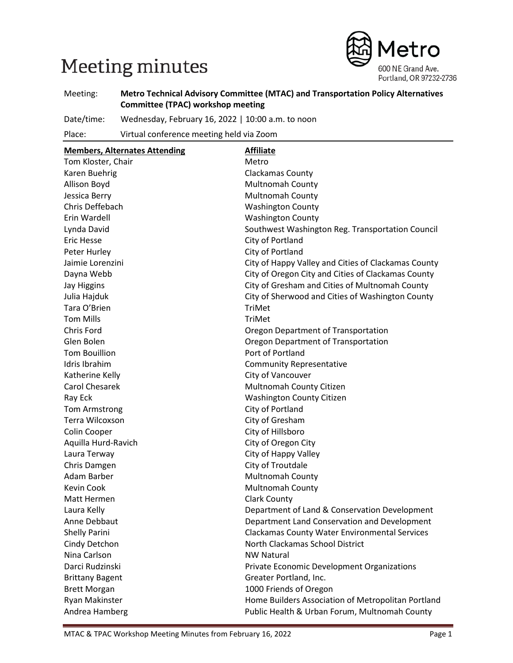# Meeting minutes



Meeting: **Metro Technical Advisory Committee (MTAC) and Transportation Policy Alternatives Committee (TPAC) workshop meeting**

Date/time: Wednesday, February 16, 2022 | 10:00 a.m. to noon

Place: Virtual conference meeting held via Zoom

| <b>Members, Alternates Attending</b> | <b>Affiliate</b>                                    |
|--------------------------------------|-----------------------------------------------------|
| Tom Kloster, Chair                   | Metro                                               |
| Karen Buehrig                        | Clackamas County                                    |
| Allison Boyd                         | <b>Multnomah County</b>                             |
| Jessica Berry                        | Multnomah County                                    |
| Chris Deffebach                      | <b>Washington County</b>                            |
| Erin Wardell                         | <b>Washington County</b>                            |
| Lynda David                          | Southwest Washington Reg. Transportation Council    |
| <b>Eric Hesse</b>                    | City of Portland                                    |
| Peter Hurley                         | City of Portland                                    |
| Jaimie Lorenzini                     | City of Happy Valley and Cities of Clackamas County |
| Dayna Webb                           | City of Oregon City and Cities of Clackamas County  |
| <b>Jay Higgins</b>                   | City of Gresham and Cities of Multnomah County      |
| Julia Hajduk                         | City of Sherwood and Cities of Washington County    |
| Tara O'Brien                         | TriMet                                              |
| <b>Tom Mills</b>                     | TriMet                                              |
| <b>Chris Ford</b>                    | Oregon Department of Transportation                 |
| Glen Bolen                           | Oregon Department of Transportation                 |
| <b>Tom Bouillion</b>                 | Port of Portland                                    |
| Idris Ibrahim                        | <b>Community Representative</b>                     |
| Katherine Kelly                      | City of Vancouver                                   |
| <b>Carol Chesarek</b>                | Multnomah County Citizen                            |
| Ray Eck                              | <b>Washington County Citizen</b>                    |
| Tom Armstrong                        | City of Portland                                    |
| Terra Wilcoxson                      | City of Gresham                                     |
| Colin Cooper                         | City of Hillsboro                                   |
| Aquilla Hurd-Ravich                  | City of Oregon City                                 |
| Laura Terway                         | City of Happy Valley                                |
| Chris Damgen                         | City of Troutdale                                   |
| Adam Barber                          | Multnomah County                                    |
| Kevin Cook                           | Multnomah County                                    |
| Matt Hermen                          | <b>Clark County</b>                                 |
| Laura Kelly                          | Department of Land & Conservation Development       |
| Anne Debbaut                         | Department Land Conservation and Development        |
| Shelly Parini                        | Clackamas County Water Environmental Services       |
| Cindy Detchon                        | North Clackamas School District                     |
| Nina Carlson                         | <b>NW Natural</b>                                   |
| Darci Rudzinski                      | Private Economic Development Organizations          |
| <b>Brittany Bagent</b>               | Greater Portland, Inc.                              |
| <b>Brett Morgan</b>                  | 1000 Friends of Oregon                              |
| Ryan Makinster                       | Home Builders Association of Metropolitan Portland  |
| Andrea Hamberg                       | Public Health & Urban Forum, Multnomah County       |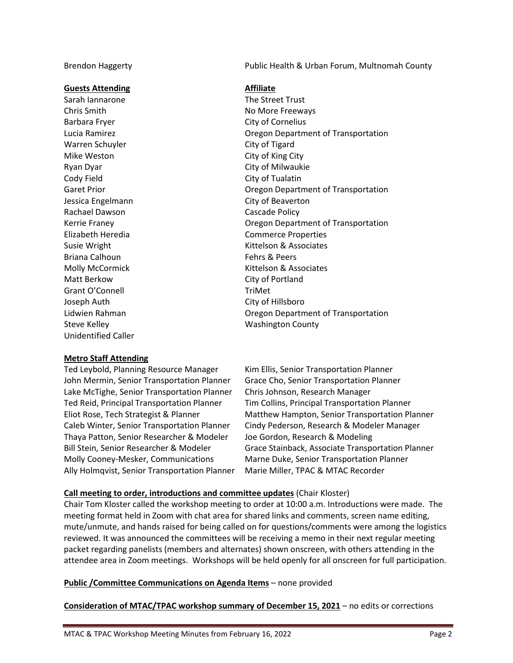#### **Guests Attending Affiliate**

Sarah Iannarone The Street Trust Chris Smith **No More Freeways** Barbara Fryer City of Cornelius Warren Schuyler City of Tigard Mike Weston **City of King City** Ryan Dyar City of Milwaukie Cody Field Cody Field City of Tualatin Jessica Engelmann City of Beaverton Rachael Dawson **Cascade Policy** Briana Calhoun **Fehrs & Peers** Matt Berkow City of Portland Grant O'Connell TriMet Joseph Auth City of Hillsboro Steve Kelley **Mashington County** Washington County Unidentified Caller

Brendon Haggerty Public Health & Urban Forum, Multnomah County

Lucia Ramirez Oregon Department of Transportation Garet Prior **Caret Prior** Cregon Department of Transportation Kerrie Franey Oregon Department of Transportation Elizabeth Heredia Commerce Properties Susie Wright **Kittelson & Associates** Molly McCormick **Kittelson & Associates** Lidwien Rahman Oregon Department of Transportation

#### **Metro Staff Attending**

Ted Leybold, Planning Resource Manager Kim Ellis, Senior Transportation Planner John Mermin, Senior Transportation Planner Grace Cho, Senior Transportation Planner Lake McTighe, Senior Transportation Planner Chris Johnson, Research Manager Ted Reid, Principal Transportation Planner Tim Collins, Principal Transportation Planner Thaya Patton, Senior Researcher & Modeler Joe Gordon, Research & Modeling Molly Cooney-Mesker, Communications Marne Duke, Senior Transportation Planner Ally Holmqvist, Senior Transportation Planner Marie Miller, TPAC & MTAC Recorder

Eliot Rose, Tech Strategist & Planner Matthew Hampton, Senior Transportation Planner Caleb Winter, Senior Transportation Planner Cindy Pederson, Research & Modeler Manager Bill Stein, Senior Researcher & Modeler Grace Stainback, Associate Transportation Planner

#### **Call meeting to order, introductions and committee updates** (Chair Kloster)

Chair Tom Kloster called the workshop meeting to order at 10:00 a.m. Introductions were made. The meeting format held in Zoom with chat area for shared links and comments, screen name editing, mute/unmute, and hands raised for being called on for questions/comments were among the logistics reviewed. It was announced the committees will be receiving a memo in their next regular meeting packet regarding panelists (members and alternates) shown onscreen, with others attending in the attendee area in Zoom meetings. Workshops will be held openly for all onscreen for full participation.

#### **Public /Committee Communications on Agenda Items** – none provided

**Consideration of MTAC/TPAC workshop summary of December 15, 2021** – no edits or corrections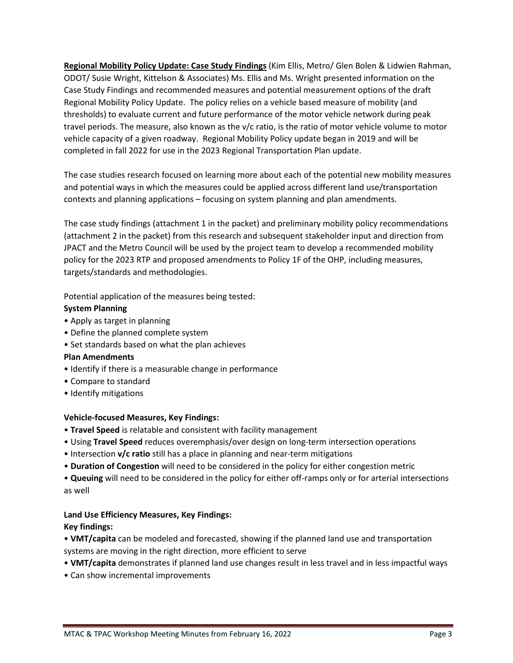**Regional Mobility Policy Update: Case Study Findings** (Kim Ellis, Metro/ Glen Bolen & Lidwien Rahman, ODOT/ Susie Wright, Kittelson & Associates) Ms. Ellis and Ms. Wright presented information on the Case Study Findings and recommended measures and potential measurement options of the draft Regional Mobility Policy Update. The policy relies on a vehicle based measure of mobility (and thresholds) to evaluate current and future performance of the motor vehicle network during peak travel periods. The measure, also known as the v/c ratio, is the ratio of motor vehicle volume to motor vehicle capacity of a given roadway. Regional Mobility Policy update began in 2019 and will be completed in fall 2022 for use in the 2023 Regional Transportation Plan update.

The case studies research focused on learning more about each of the potential new mobility measures and potential ways in which the measures could be applied across different land use/transportation contexts and planning applications – focusing on system planning and plan amendments.

The case study findings (attachment 1 in the packet) and preliminary mobility policy recommendations (attachment 2 in the packet) from this research and subsequent stakeholder input and direction from JPACT and the Metro Council will be used by the project team to develop a recommended mobility policy for the 2023 RTP and proposed amendments to Policy 1F of the OHP, including measures, targets/standards and methodologies.

Potential application of the measures being tested:

#### **System Planning**

- Apply as target in planning
- Define the planned complete system
- Set standards based on what the plan achieves

#### **Plan Amendments**

- Identify if there is a measurable change in performance
- Compare to standard
- Identify mitigations

#### **Vehicle-focused Measures, Key Findings:**

- **Travel Speed** is relatable and consistent with facility management
- Using **Travel Speed** reduces overemphasis/over design on long-term intersection operations
- Intersection **v/c ratio** still has a place in planning and near-term mitigations
- **Duration of Congestion** will need to be considered in the policy for either congestion metric

• **Queuing** will need to be considered in the policy for either off-ramps only or for arterial intersections as well

#### **Land Use Efficiency Measures, Key Findings:**

#### **Key findings:**

- **VMT/capita** can be modeled and forecasted, showing if the planned land use and transportation systems are moving in the right direction, more efficient to serve
- **VMT/capita** demonstrates if planned land use changes result in less travel and in less impactful ways
- Can show incremental improvements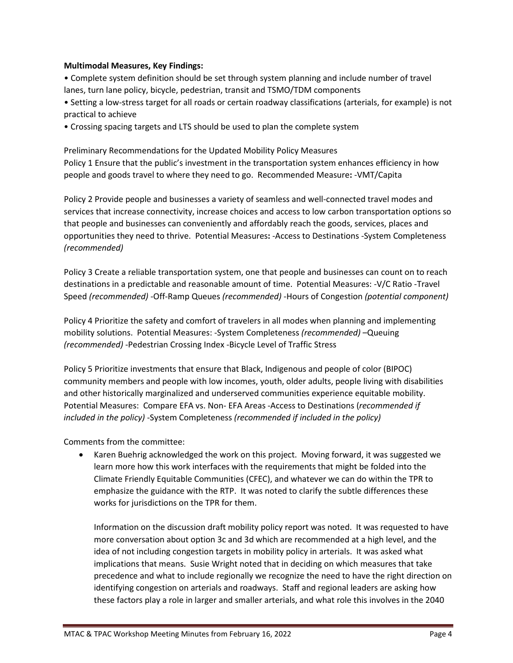#### **Multimodal Measures, Key Findings:**

• Complete system definition should be set through system planning and include number of travel lanes, turn lane policy, bicycle, pedestrian, transit and TSMO/TDM components

• Setting a low-stress target for all roads or certain roadway classifications (arterials, for example) is not practical to achieve

• Crossing spacing targets and LTS should be used to plan the complete system

Preliminary Recommendations for the Updated Mobility Policy Measures Policy 1 Ensure that the public's investment in the transportation system enhances efficiency in how people and goods travel to where they need to go. Recommended Measure**:** -VMT/Capita

Policy 2 Provide people and businesses a variety of seamless and well-connected travel modes and services that increase connectivity, increase choices and access to low carbon transportation options so that people and businesses can conveniently and affordably reach the goods, services, places and opportunities they need to thrive. Potential Measures**:** -Access to Destinations -System Completeness *(recommended)*

Policy 3 Create a reliable transportation system, one that people and businesses can count on to reach destinations in a predictable and reasonable amount of time. Potential Measures: -V/C Ratio -Travel Speed *(recommended)* -Off-Ramp Queues *(recommended)* -Hours of Congestion *(potential component)*

Policy 4 Prioritize the safety and comfort of travelers in all modes when planning and implementing mobility solutions. Potential Measures: -System Completeness *(recommended)* –Queuing *(recommended)* -Pedestrian Crossing Index -Bicycle Level of Traffic Stress

Policy 5 Prioritize investments that ensure that Black, Indigenous and people of color (BIPOC) community members and people with low incomes, youth, older adults, people living with disabilities and other historically marginalized and underserved communities experience equitable mobility. Potential Measures: Compare EFA vs. Non- EFA Areas -Access to Destinations (*recommended if included in the policy)* -System Completeness *(recommended if included in the policy)*

Comments from the committee:

• Karen Buehrig acknowledged the work on this project. Moving forward, it was suggested we learn more how this work interfaces with the requirements that might be folded into the Climate Friendly Equitable Communities (CFEC), and whatever we can do within the TPR to emphasize the guidance with the RTP. It was noted to clarify the subtle differences these works for jurisdictions on the TPR for them.

Information on the discussion draft mobility policy report was noted. It was requested to have more conversation about option 3c and 3d which are recommended at a high level, and the idea of not including congestion targets in mobility policy in arterials. It was asked what implications that means. Susie Wright noted that in deciding on which measures that take precedence and what to include regionally we recognize the need to have the right direction on identifying congestion on arterials and roadways. Staff and regional leaders are asking how these factors play a role in larger and smaller arterials, and what role this involves in the 2040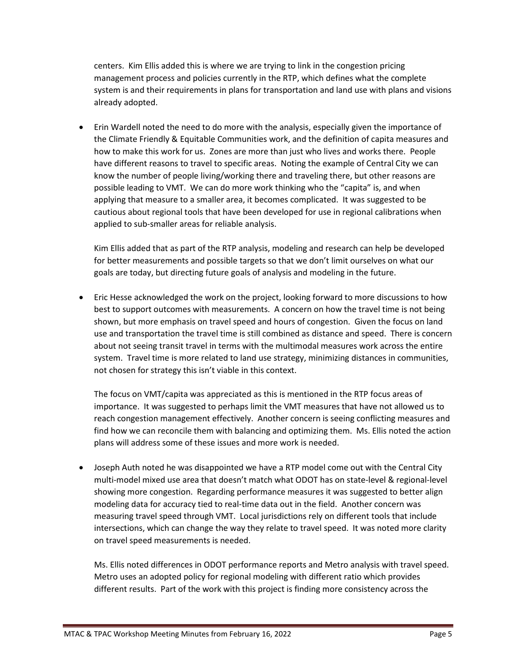centers. Kim Ellis added this is where we are trying to link in the congestion pricing management process and policies currently in the RTP, which defines what the complete system is and their requirements in plans for transportation and land use with plans and visions already adopted.

• Erin Wardell noted the need to do more with the analysis, especially given the importance of the Climate Friendly & Equitable Communities work, and the definition of capita measures and how to make this work for us. Zones are more than just who lives and works there. People have different reasons to travel to specific areas. Noting the example of Central City we can know the number of people living/working there and traveling there, but other reasons are possible leading to VMT. We can do more work thinking who the "capita" is, and when applying that measure to a smaller area, it becomes complicated. It was suggested to be cautious about regional tools that have been developed for use in regional calibrations when applied to sub-smaller areas for reliable analysis.

Kim Ellis added that as part of the RTP analysis, modeling and research can help be developed for better measurements and possible targets so that we don't limit ourselves on what our goals are today, but directing future goals of analysis and modeling in the future.

• Eric Hesse acknowledged the work on the project, looking forward to more discussions to how best to support outcomes with measurements. A concern on how the travel time is not being shown, but more emphasis on travel speed and hours of congestion. Given the focus on land use and transportation the travel time is still combined as distance and speed. There is concern about not seeing transit travel in terms with the multimodal measures work across the entire system. Travel time is more related to land use strategy, minimizing distances in communities, not chosen for strategy this isn't viable in this context.

The focus on VMT/capita was appreciated as this is mentioned in the RTP focus areas of importance. It was suggested to perhaps limit the VMT measures that have not allowed us to reach congestion management effectively. Another concern is seeing conflicting measures and find how we can reconcile them with balancing and optimizing them. Ms. Ellis noted the action plans will address some of these issues and more work is needed.

• Joseph Auth noted he was disappointed we have a RTP model come out with the Central City multi-model mixed use area that doesn't match what ODOT has on state-level & regional-level showing more congestion. Regarding performance measures it was suggested to better align modeling data for accuracy tied to real-time data out in the field. Another concern was measuring travel speed through VMT. Local jurisdictions rely on different tools that include intersections, which can change the way they relate to travel speed. It was noted more clarity on travel speed measurements is needed.

Ms. Ellis noted differences in ODOT performance reports and Metro analysis with travel speed. Metro uses an adopted policy for regional modeling with different ratio which provides different results. Part of the work with this project is finding more consistency across the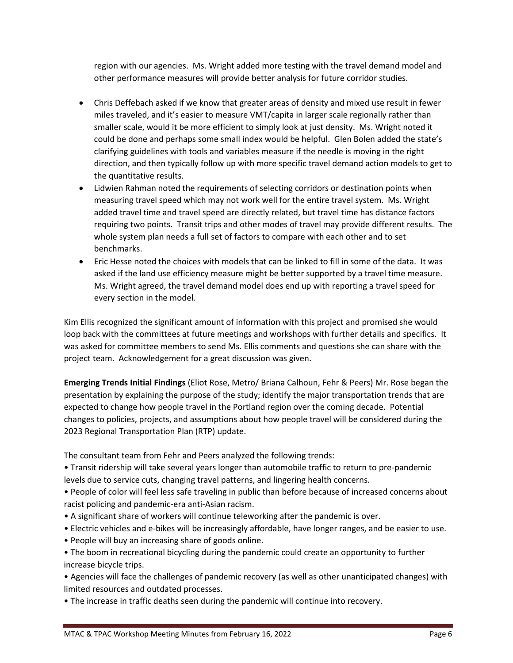region with our agencies. Ms. Wright added more testing with the travel demand model and other performance measures will provide better analysis for future corridor studies.

- Chris Deffebach asked if we know that greater areas of density and mixed use result in fewer miles traveled, and it's easier to measure VMT/capita in larger scale regionally rather than smaller scale, would it be more efficient to simply look at just density. Ms. Wright noted it could be done and perhaps some small index would be helpful. Glen Bolen added the state's clarifying guidelines with tools and variables measure if the needle is moving in the right direction, and then typically follow up with more specific travel demand action models to get to the quantitative results.
- Lidwien Rahman noted the requirements of selecting corridors or destination points when measuring travel speed which may not work well for the entire travel system. Ms. Wright added travel time and travel speed are directly related, but travel time has distance factors requiring two points. Transit trips and other modes of travel may provide different results. The whole system plan needs a full set of factors to compare with each other and to set benchmarks.
- Eric Hesse noted the choices with models that can be linked to fill in some of the data. It was asked if the land use efficiency measure might be better supported by a travel time measure. Ms. Wright agreed, the travel demand model does end up with reporting a travel speed for every section in the model.

Kim Ellis recognized the significant amount of information with this project and promised she would loop back with the committees at future meetings and workshops with further details and specifics. It was asked for committee members to send Ms. Ellis comments and questions she can share with the project team. Acknowledgement for a great discussion was given.

**Emerging Trends Initial Findings** (Eliot Rose, Metro/ Briana Calhoun, Fehr & Peers) Mr. Rose began the presentation by explaining the purpose of the study; identify the major transportation trends that are expected to change how people travel in the Portland region over the coming decade. Potential changes to policies, projects, and assumptions about how people travel will be considered during the 2023 Regional Transportation Plan (RTP) update.

The consultant team from Fehr and Peers analyzed the following trends:

• Transit ridership will take several years longer than automobile traffic to return to pre-pandemic levels due to service cuts, changing travel patterns, and lingering health concerns.

• People of color will feel less safe traveling in public than before because of increased concerns about racist policing and pandemic-era anti-Asian racism.

- A significant share of workers will continue teleworking after the pandemic is over.
- Electric vehicles and e-bikes will be increasingly affordable, have longer ranges, and be easier to use.
- People will buy an increasing share of goods online.

• The boom in recreational bicycling during the pandemic could create an opportunity to further increase bicycle trips.

• Agencies will face the challenges of pandemic recovery (as well as other unanticipated changes) with limited resources and outdated processes.

• The increase in traffic deaths seen during the pandemic will continue into recovery.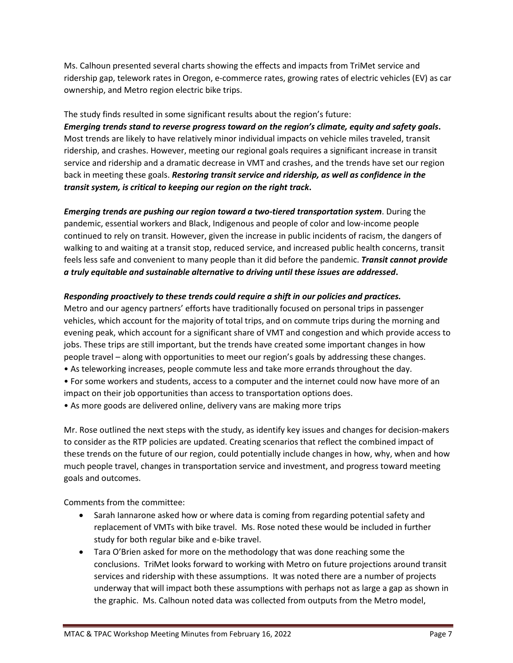Ms. Calhoun presented several charts showing the effects and impacts from TriMet service and ridership gap, telework rates in Oregon, e-commerce rates, growing rates of electric vehicles (EV) as car ownership, and Metro region electric bike trips.

The study finds resulted in some significant results about the region's future: *Emerging trends stand to reverse progress toward on the region's climate, equity and safety goals***.** Most trends are likely to have relatively minor individual impacts on vehicle miles traveled, transit ridership, and crashes. However, meeting our regional goals requires a significant increase in transit service and ridership and a dramatic decrease in VMT and crashes, and the trends have set our region back in meeting these goals. *Restoring transit service and ridership, as well as confidence in the transit system, is critical to keeping our region on the right track***.**

*Emerging trends are pushing our region toward a two-tiered transportation system*. During the pandemic, essential workers and Black, Indigenous and people of color and low-income people continued to rely on transit. However, given the increase in public incidents of racism, the dangers of walking to and waiting at a transit stop, reduced service, and increased public health concerns, transit feels less safe and convenient to many people than it did before the pandemic. *Transit cannot provide a truly equitable and sustainable alternative to driving until these issues are addressed***.**

#### *Responding proactively to these trends could require a shift in our policies and practices.*

Metro and our agency partners' efforts have traditionally focused on personal trips in passenger vehicles, which account for the majority of total trips, and on commute trips during the morning and evening peak, which account for a significant share of VMT and congestion and which provide access to jobs. These trips are still important, but the trends have created some important changes in how people travel – along with opportunities to meet our region's goals by addressing these changes.

- As teleworking increases, people commute less and take more errands throughout the day.
- For some workers and students, access to a computer and the internet could now have more of an impact on their job opportunities than access to transportation options does.
- As more goods are delivered online, delivery vans are making more trips

Mr. Rose outlined the next steps with the study, as identify key issues and changes for decision-makers to consider as the RTP policies are updated. Creating scenarios that reflect the combined impact of these trends on the future of our region, could potentially include changes in how, why, when and how much people travel, changes in transportation service and investment, and progress toward meeting goals and outcomes.

Comments from the committee:

- Sarah Iannarone asked how or where data is coming from regarding potential safety and replacement of VMTs with bike travel. Ms. Rose noted these would be included in further study for both regular bike and e-bike travel.
- Tara O'Brien asked for more on the methodology that was done reaching some the conclusions. TriMet looks forward to working with Metro on future projections around transit services and ridership with these assumptions. It was noted there are a number of projects underway that will impact both these assumptions with perhaps not as large a gap as shown in the graphic. Ms. Calhoun noted data was collected from outputs from the Metro model,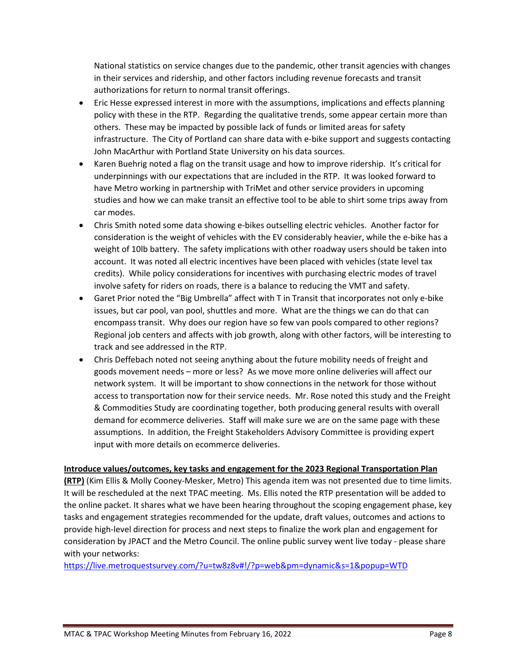National statistics on service changes due to the pandemic, other transit agencies with changes in their services and ridership, and other factors including revenue forecasts and transit authorizations for return to normal transit offerings.

- Eric Hesse expressed interest in more with the assumptions, implications and effects planning policy with these in the RTP. Regarding the qualitative trends, some appear certain more than others. These may be impacted by possible lack of funds or limited areas for safety infrastructure. The City of Portland can share data with e-bike support and suggests contacting John MacArthur with Portland State University on his data sources.
- Karen Buehrig noted a flag on the transit usage and how to improve ridership. It's critical for underpinnings with our expectations that are included in the RTP. It was looked forward to have Metro working in partnership with TriMet and other service providers in upcoming studies and how we can make transit an effective tool to be able to shirt some trips away from car modes.
- Chris Smith noted some data showing e-bikes outselling electric vehicles. Another factor for consideration is the weight of vehicles with the EV considerably heavier, while the e-bike has a weight of 10lb battery. The safety implications with other roadway users should be taken into account. It was noted all electric incentives have been placed with vehicles (state level tax credits). While policy considerations for incentives with purchasing electric modes of travel involve safety for riders on roads, there is a balance to reducing the VMT and safety.
- Garet Prior noted the "Big Umbrella" affect with T in Transit that incorporates not only e-bike issues, but car pool, van pool, shuttles and more. What are the things we can do that can encompass transit. Why does our region have so few van pools compared to other regions? Regional job centers and affects with job growth, along with other factors, will be interesting to track and see addressed in the RTP.
- Chris Deffebach noted not seeing anything about the future mobility needs of freight and goods movement needs – more or less? As we move more online deliveries will affect our network system. It will be important to show connections in the network for those without access to transportation now for their service needs. Mr. Rose noted this study and the Freight & Commodities Study are coordinating together, both producing general results with overall demand for ecommerce deliveries. Staff will make sure we are on the same page with these assumptions. In addition, the Freight Stakeholders Advisory Committee is providing expert input with more details on ecommerce deliveries.

#### **Introduce values/outcomes, key tasks and engagement for the 2023 Regional Transportation Plan**

**(RTP)** (Kim Ellis & Molly Cooney-Mesker, Metro) This agenda item was not presented due to time limits. It will be rescheduled at the next TPAC meeting. Ms. Ellis noted the RTP presentation will be added to the online packet. It shares what we have been hearing throughout the scoping engagement phase, key tasks and engagement strategies recommended for the update, draft values, outcomes and actions to provide high-level direction for process and next steps to finalize the work plan and engagement for consideration by JPACT and the Metro Council. The online public survey went live today - please share with your networks:

<https://live.metroquestsurvey.com/?u=tw8z8v#!/?p=web&pm=dynamic&s=1&popup=WTD>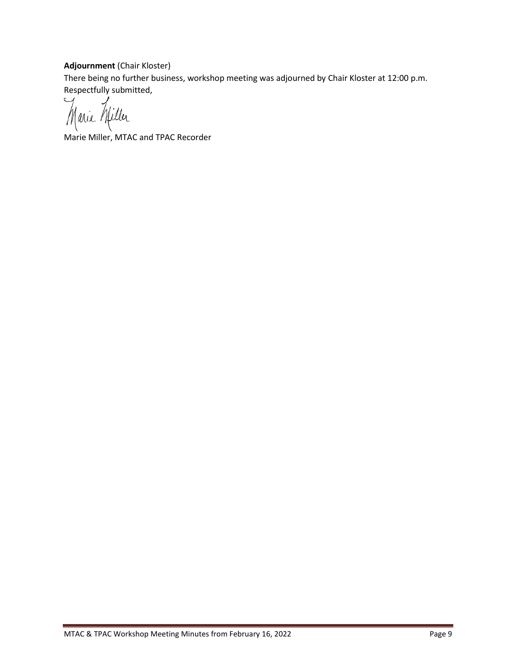### **Adjournment** (Chair Kloster)

There being no further business, workshop meeting was adjourned by Chair Kloster at 12:00 p.m. Respectfully submitted,

Marie Willer

Marie Miller, MTAC and TPAC Recorder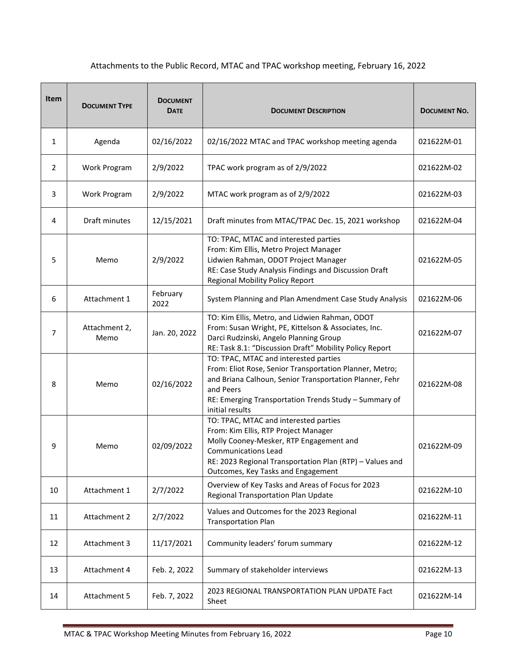## Attachments to the Public Record, MTAC and TPAC workshop meeting, February 16, 2022

| <b>Item</b>    | <b>DOCUMENT TYPE</b>  | <b>DOCUMENT</b><br><b>DATE</b> | <b>DOCUMENT DESCRIPTION</b>                                                                                                                                                                                                                              | <b>DOCUMENT NO.</b> |
|----------------|-----------------------|--------------------------------|----------------------------------------------------------------------------------------------------------------------------------------------------------------------------------------------------------------------------------------------------------|---------------------|
| 1              | Agenda                | 02/16/2022                     | 02/16/2022 MTAC and TPAC workshop meeting agenda                                                                                                                                                                                                         | 021622M-01          |
| $\overline{2}$ | Work Program          | 2/9/2022                       | TPAC work program as of 2/9/2022                                                                                                                                                                                                                         | 021622M-02          |
| 3              | Work Program          | 2/9/2022                       | MTAC work program as of 2/9/2022                                                                                                                                                                                                                         | 021622M-03          |
| 4              | Draft minutes         | 12/15/2021                     | Draft minutes from MTAC/TPAC Dec. 15, 2021 workshop                                                                                                                                                                                                      | 021622M-04          |
| 5              | Memo                  | 2/9/2022                       | TO: TPAC, MTAC and interested parties<br>From: Kim Ellis, Metro Project Manager<br>Lidwien Rahman, ODOT Project Manager<br>RE: Case Study Analysis Findings and Discussion Draft<br>Regional Mobility Policy Report                                      | 021622M-05          |
| 6              | Attachment 1          | February<br>2022               | System Planning and Plan Amendment Case Study Analysis                                                                                                                                                                                                   | 021622M-06          |
| 7              | Attachment 2,<br>Memo | Jan. 20, 2022                  | TO: Kim Ellis, Metro, and Lidwien Rahman, ODOT<br>From: Susan Wright, PE, Kittelson & Associates, Inc.<br>Darci Rudzinski, Angelo Planning Group<br>RE: Task 8.1: "Discussion Draft" Mobility Policy Report                                              | 021622M-07          |
| 8              | Memo                  | 02/16/2022                     | TO: TPAC, MTAC and interested parties<br>From: Eliot Rose, Senior Transportation Planner, Metro;<br>and Briana Calhoun, Senior Transportation Planner, Fehr<br>and Peers<br>RE: Emerging Transportation Trends Study - Summary of<br>initial results     | 021622M-08          |
| 9              | Memo                  | 02/09/2022                     | TO: TPAC, MTAC and interested parties<br>From: Kim Ellis, RTP Project Manager<br>Molly Cooney-Mesker, RTP Engagement and<br><b>Communications Lead</b><br>RE: 2023 Regional Transportation Plan (RTP) - Values and<br>Outcomes, Key Tasks and Engagement | 021622M-09          |
| 10             | Attachment 1          | 2/7/2022                       | Overview of Key Tasks and Areas of Focus for 2023<br>Regional Transportation Plan Update                                                                                                                                                                 | 021622M-10          |
| 11             | Attachment 2          | 2/7/2022                       | Values and Outcomes for the 2023 Regional<br><b>Transportation Plan</b>                                                                                                                                                                                  | 021622M-11          |
| 12             | Attachment 3          | 11/17/2021                     | Community leaders' forum summary                                                                                                                                                                                                                         | 021622M-12          |
| 13             | Attachment 4          | Feb. 2, 2022                   | Summary of stakeholder interviews                                                                                                                                                                                                                        | 021622M-13          |
| 14             | Attachment 5          | Feb. 7, 2022                   | 2023 REGIONAL TRANSPORTATION PLAN UPDATE Fact<br>Sheet                                                                                                                                                                                                   | 021622M-14          |